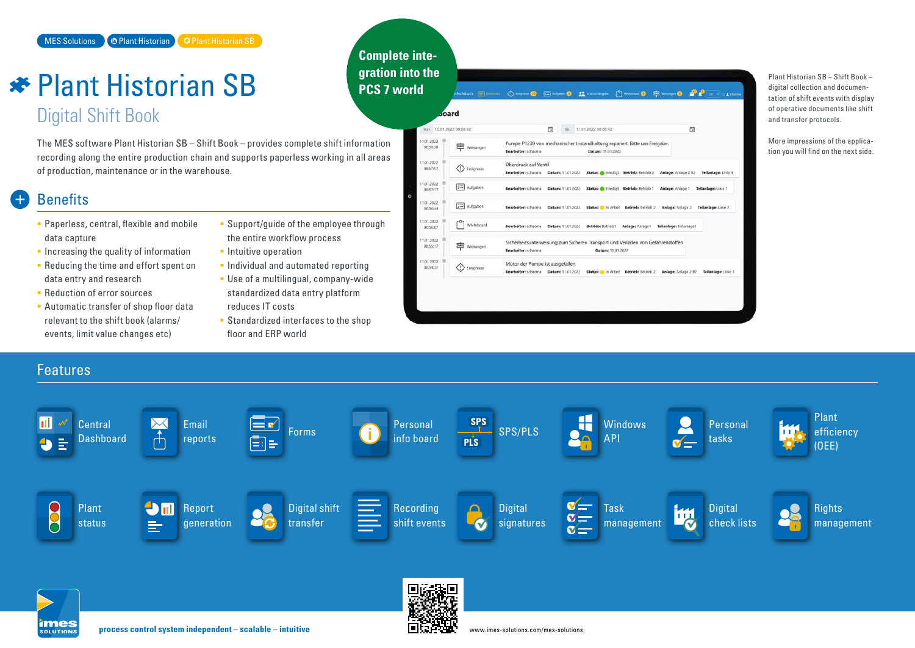# *<del>★</del> Plant Historian SB* Digital Shift Book

The MES software Plant Historian SB – Shift Book – provides complete shift information recording along the entire production chain and supports paperless working in all areas of production, maintenance or in the warehouse.

# **Benefits**

- **Paperless, central, flexible and mobile** data capture
- $\blacksquare$  Increasing the quality of information
- **Reducing the time and effort spent on** data entry and research
- **Reduction of error sources**
- **Automatic transfer of shop floor data** relevant to the shift book (alarms/ events, limit value changes etc)
- **Support/quide of the employee through** the entire workflow process

**Complete inte-**

- **Intuitive operation**
- **Individual and automated reporting**
- Use of a multilingual, company-wide standardized data entry platform reduces IT costs
- **Standardized interfaces to the shop** floor and ERP world



Plant Historian SB – Shift Book – digital collection and documentation of shift events with display of operative documents like shift and transfer protocols.

More impressions of the application you will find on the next side.

Features Plant пľ (≡ v **Central** Email Forms Personal Personal Personal Personal Personal SPS SPS/PLS Nindows<br>info board PIS SPS/PLS API i i id efficiency  $\overline{A}$ API **Dashboard** reports Ea tasks (OEE) **im** 80 Digital shift  $\mathbf{N}$ Report Recording **Digital** Task **Digital Rights** Plant lull  $\mathbf{v}$ management status **generation** transfer shift events Ñ **signatures** check lists management  $\equiv$  $\sigma =$